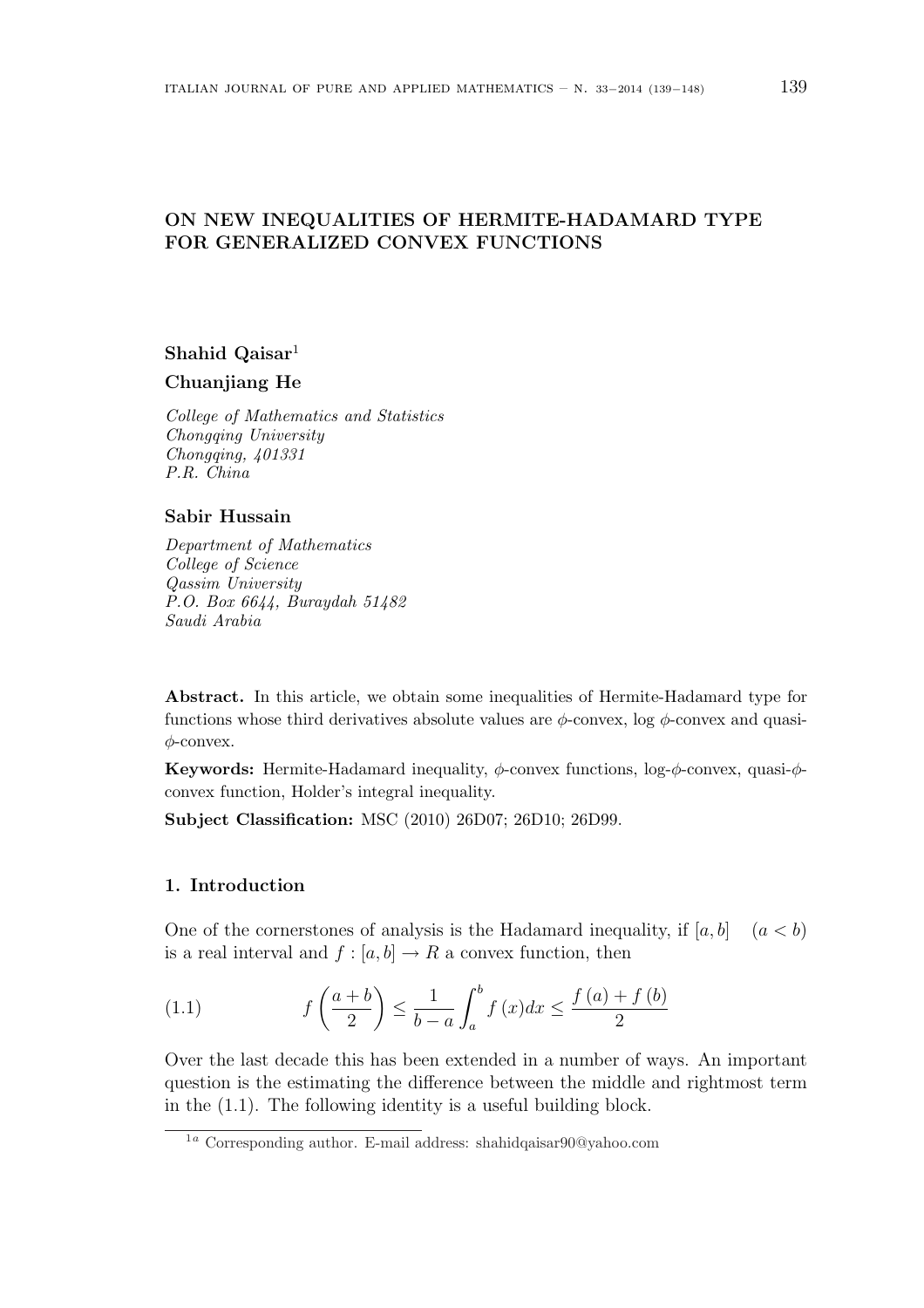# ON NEW INEQUALITIES OF HERMITE-HADAMARD TYPE FOR GENERALIZED CONVEX FUNCTIONS

# Shahid Qaisar $1$

# Chuanjiang He

College of Mathematics and Statistics Chongqing University Chongqing, 401331 P.R. China

### Sabir Hussain

Department of Mathematics College of Science Qassim University P.O. Box 6644, Buraydah 51482 Saudi Arabia

Abstract. In this article, we obtain some inequalities of Hermite-Hadamard type for functions whose third derivatives absolute values are  $\phi$ -convex, log  $\phi$ -convex and quasi- $\phi$ -convex.

Keywords: Hermite-Hadamard inequality,  $\phi$ -convex functions, log- $\phi$ -convex, quasi- $\phi$ convex function, Holder's integral inequality.

Subject Classification: MSC (2010) 26D07; 26D10; 26D99.

# 1. Introduction

One of the cornerstones of analysis is the Hadamard inequality, if  $[a, b]$   $(a < b)$ is a real interval and  $f : [a, b] \to R$  a convex function, then

(1.1) 
$$
f\left(\frac{a+b}{2}\right) \le \frac{1}{b-a} \int_a^b f(x)dx \le \frac{f(a)+f(b)}{2}
$$

Over the last decade this has been extended in a number of ways. An important question is the estimating the difference between the middle and rightmost term in the (1.1). The following identity is a useful building block.

<sup>1</sup><sup>a</sup> Corresponding author. E-mail address: shahidqaisar90@yahoo.com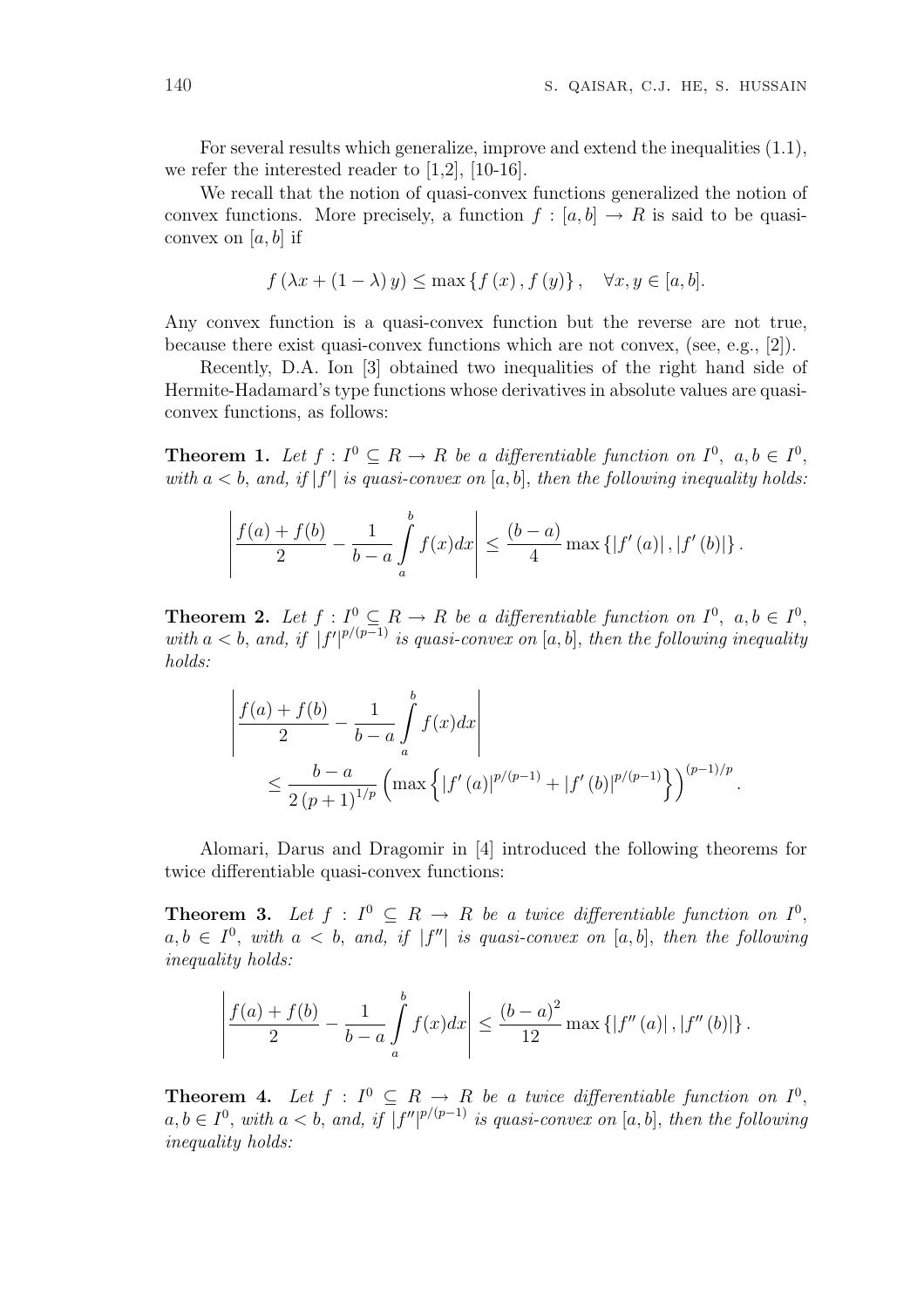For several results which generalize, improve and extend the inequalities (1.1), we refer the interested reader to  $[1,2]$ ,  $[10-16]$ .

We recall that the notion of quasi-convex functions generalized the notion of convex functions. More precisely, a function  $f : [a, b] \to R$  is said to be quasiconvex on  $[a, b]$  if

$$
f(\lambda x + (1 - \lambda) y) \le \max\left\{ f(x), f(y) \right\}, \quad \forall x, y \in [a, b].
$$

Any convex function is a quasi-convex function but the reverse are not true, because there exist quasi-convex functions which are not convex, (see, e.g., [2]).

Recently, D.A. Ion [3] obtained two inequalities of the right hand side of Hermite-Hadamard's type functions whose derivatives in absolute values are quasiconvex functions, as follows:

**Theorem 1.** Let  $f: I^0 \subseteq R \to R$  be a differentiable function on  $I^0$ ,  $a, b \in I^0$ , with  $a < b$ , and, if  $|f'|$  is quasi-convex on  $[a, b]$ , then the following inequality holds:

$$
\left| \frac{f(a) + f(b)}{2} - \frac{1}{b - a} \int_{a}^{b} f(x) dx \right| \leq \frac{(b - a)}{4} \max \left\{ |f'(a)|, |f'(b)| \right\}.
$$

**Theorem 2.** Let  $f: I^0 \subseteq R \to R$  be a differentiable function on  $I^0$ ,  $a, b \in I^0$ , with  $a < b$ , and, if  $|f'|^{p/(p-1)}$  is quasi-convex on [a, b], then the following inequality holds:

$$
\left| \frac{f(a) + f(b)}{2} - \frac{1}{b - a} \int_{a}^{b} f(x) dx \right|
$$
  
\$\leq \frac{b - a}{2 (p + 1)^{1/p}} \left( \max \left\{ |f'(a)|^{p/(p-1)} + |f'(b)|^{p/(p-1)} \right\} \right)^{(p-1)/p}\$.

Alomari, Darus and Dragomir in [4] introduced the following theorems for twice differentiable quasi-convex functions:

**Theorem 3.** Let  $f: I^0 \subseteq R \rightarrow R$  be a twice differentiable function on  $I^0$ ,  $a, b \in I^0$ , with  $a < b$ , and, if  $|f''|$  is quasi-convex on [a, b], then the following inequality holds:

$$
\left| \frac{f(a) + f(b)}{2} - \frac{1}{b - a} \int_{a}^{b} f(x) dx \right| \leq \frac{(b - a)^{2}}{12} \max \left\{ |f''(a)|, |f''(b)| \right\}.
$$

**Theorem 4.** Let  $f: I^0 \subseteq R \rightarrow R$  be a twice differentiable function on  $I^0$ ,  $a, b \in I^0$ , with  $a < b$ , and, if  $|f''|^{p/(p-1)}$  is quasi-convex on [a, b], then the following inequality holds: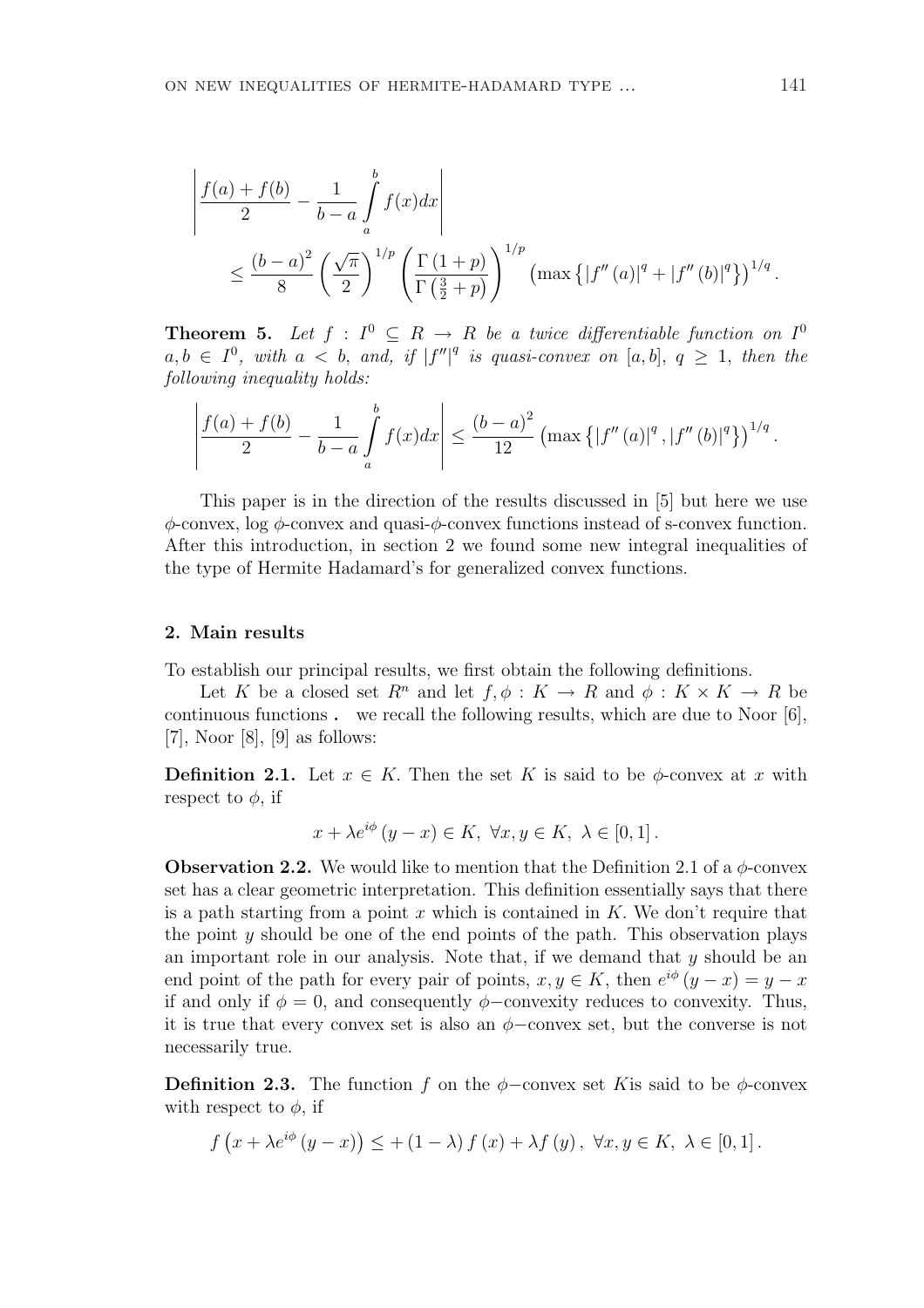$$
\left| \frac{f(a) + f(b)}{2} - \frac{1}{b-a} \int_{a}^{b} f(x) dx \right|
$$
  
\$\leq \frac{(b-a)^2}{8} \left( \frac{\sqrt{\pi}}{2} \right)^{1/p} \left( \frac{\Gamma(1+p)}{\Gamma(\frac{3}{2}+p)} \right)^{1/p} \left( \max \{ |f''(a)|^q + |f''(b)|^q \} \right)^{1/q}\$.

**Theorem 5.** Let  $f : I^0 \subseteq R \to R$  be a twice differentiable function on  $I^0$  $a, b \in I^0$ , with  $a < b$ , and, if  $|f''|^q$  is quasi-convex on  $[a, b]$ ,  $q \ge 1$ , then the following inequality holds:

$$
\left| \frac{f(a) + f(b)}{2} - \frac{1}{b - a} \int_{a}^{b} f(x) dx \right| \leq \frac{(b - a)^2}{12} \left( \max \left\{ |f''(a)|^q, |f''(b)|^q \right\} \right)^{1/q}.
$$

This paper is in the direction of the results discussed in [5] but here we use  $\phi$ -convex, log  $\phi$ -convex and quasi- $\phi$ -convex functions instead of s-convex function. After this introduction, in section 2 we found some new integral inequalities of the type of Hermite Hadamard's for generalized convex functions.

#### 2. Main results

To establish our principal results, we first obtain the following definitions.

Let K be a closed set  $R^n$  and let  $f, \phi: K \to R$  and  $\phi: K \times K \to R$  be continuous functions . we recall the following results, which are due to Noor [6], [7], Noor [8], [9] as follows:

**Definition 2.1.** Let  $x \in K$ . Then the set K is said to be  $\phi$ -convex at x with respect to  $\phi$ , if

$$
x + \lambda e^{i\phi} (y - x) \in K, \ \forall x, y \in K, \ \lambda \in [0, 1].
$$

**Observation 2.2.** We would like to mention that the Definition 2.1 of a  $\phi$ -convex set has a clear geometric interpretation. This definition essentially says that there is a path starting from a point x which is contained in  $K$ . We don't require that the point y should be one of the end points of the path. This observation plays an important role in our analysis. Note that, if we demand that y should be an end point of the path for every pair of points,  $x, y \in K$ , then  $e^{i\phi}(y-x) = y-x$ if and only if  $\phi = 0$ , and consequently  $\phi$ –convexity reduces to convexity. Thus, it is true that every convex set is also an  $\phi$ -convex set, but the converse is not necessarily true.

**Definition 2.3.** The function f on the  $\phi$ -convex set K is said to be  $\phi$ -convex with respect to  $\phi$ , if

$$
f(x + \lambda e^{i\phi}(y - x)) \leq + (1 - \lambda) f(x) + \lambda f(y), \ \forall x, y \in K, \ \lambda \in [0, 1].
$$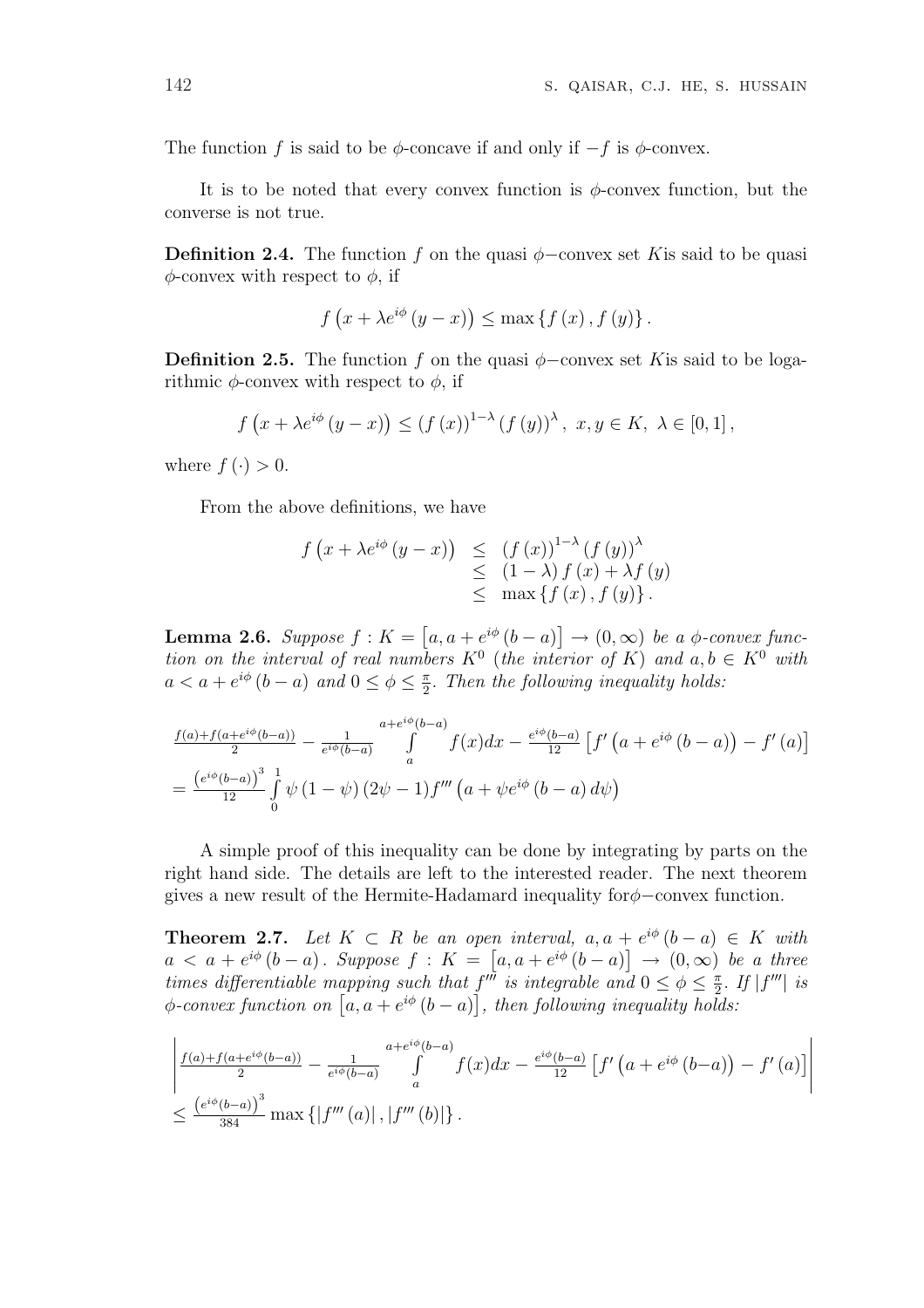The function f is said to be  $\phi$ -concave if and only if  $-f$  is  $\phi$ -convex.

It is to be noted that every convex function is  $\phi$ -convex function, but the converse is not true.

**Definition 2.4.** The function f on the quasi  $\phi$ -convex set K is said to be quasi  $\phi$ -convex with respect to  $\phi$ , if

$$
f\left(x+\lambda e^{i\phi}\left(y-x\right)\right)\leq \max\left\{f\left(x\right),f\left(y\right)\right\}.
$$

**Definition 2.5.** The function f on the quasi  $\phi$ -convex set K is said to be logarithmic  $\phi$ -convex with respect to  $\phi$ , if

$$
f(x + \lambda e^{i\phi}(y - x)) \le (f(x))^{1-\lambda} (f(y))^{\lambda}, x, y \in K, \lambda \in [0, 1],
$$

where  $f(\cdot) > 0$ .

From the above definitions, we have

$$
f(x + \lambda e^{i\phi} (y - x)) \leq (f(x))^{1-\lambda} (f(y))^{\lambda}
$$
  
\n
$$
\leq (1 - \lambda) f(x) + \lambda f(y)
$$
  
\n
$$
\leq \max \{f(x), f(y)\}.
$$

**Lemma 2.6.** Suppose  $f: K =$ £  $a, a + e^{i\phi} (b - a)$ l<br>E  $\rightarrow (0,\infty)$  be a  $\phi$ -convex function on the interval of real numbers  $K^0$  (the interior of K) and  $a, b \in K^0$  with  $a < a + e^{i\phi} (b - a)$  and  $0 \le \phi \le \frac{\pi}{2}$  $\frac{\pi}{2}$ . Then the following inequality holds:

$$
\frac{f(a)+f(a+e^{i\phi}(b-a))}{2} - \frac{1}{e^{i\phi}(b-a)} \int_{a}^{a+e^{i\phi}(b-a)} f(x)dx - \frac{e^{i\phi}(b-a)}{12} \left[ f'(a+e^{i\phi}(b-a)) - f'(a) \right]
$$

$$
= \frac{\left(e^{i\phi}(b-a)\right)^3}{12} \int_{0}^{1} \psi(1-\psi)(2\psi-1) f'''(a+\psi e^{i\phi}(b-a)) d\psi
$$

A simple proof of this inequality can be done by integrating by parts on the right hand side. The details are left to the interested reader. The next theorem gives a new result of the Hermite-Hadamard inequality forφ−convex function.

**Theorem 2.7.** Let  $K \subset R$  be an open interval,  $a, a + e^{i\phi} (b - a) \in K$  with  $a < a + e^{i\phi} (b - a)$ . Suppose  $f : K = [a, a + e^{i\phi} (b - a)] \rightarrow (0, \infty)$  be a three times differentiable mapping such that  $f^{\mu\nu}$  is integrable and  $0 \le \phi \le \frac{\pi}{2}$  $f''$  is integrable and  $0 \leq \phi \leq \frac{\pi}{2}$ . If  $|f'''|$  is times atyperentiable mapping such that  $f''$  is integrable and  $0 \le \varphi \le \frac{1}{2}$ .<br> $\phi$ -convex function on  $[a, a + e^{i\phi} (b - a)]$ , then following inequality holds:

$$
\left| \frac{f(a) + f(a + e^{i\phi}(b-a))}{2} - \frac{1}{e^{i\phi}(b-a)} \int_{a}^{a + e^{i\phi}(b-a)} f(x) dx - \frac{e^{i\phi}(b-a)}{12} \left[ f'(a + e^{i\phi}(b-a)) - f'(a) \right] \right|
$$
  

$$
\leq \frac{\left(e^{i\phi}(b-a)\right)^3}{384} \max \left\{ \left| f'''(a) \right|, \left| f'''(b) \right| \right\}.
$$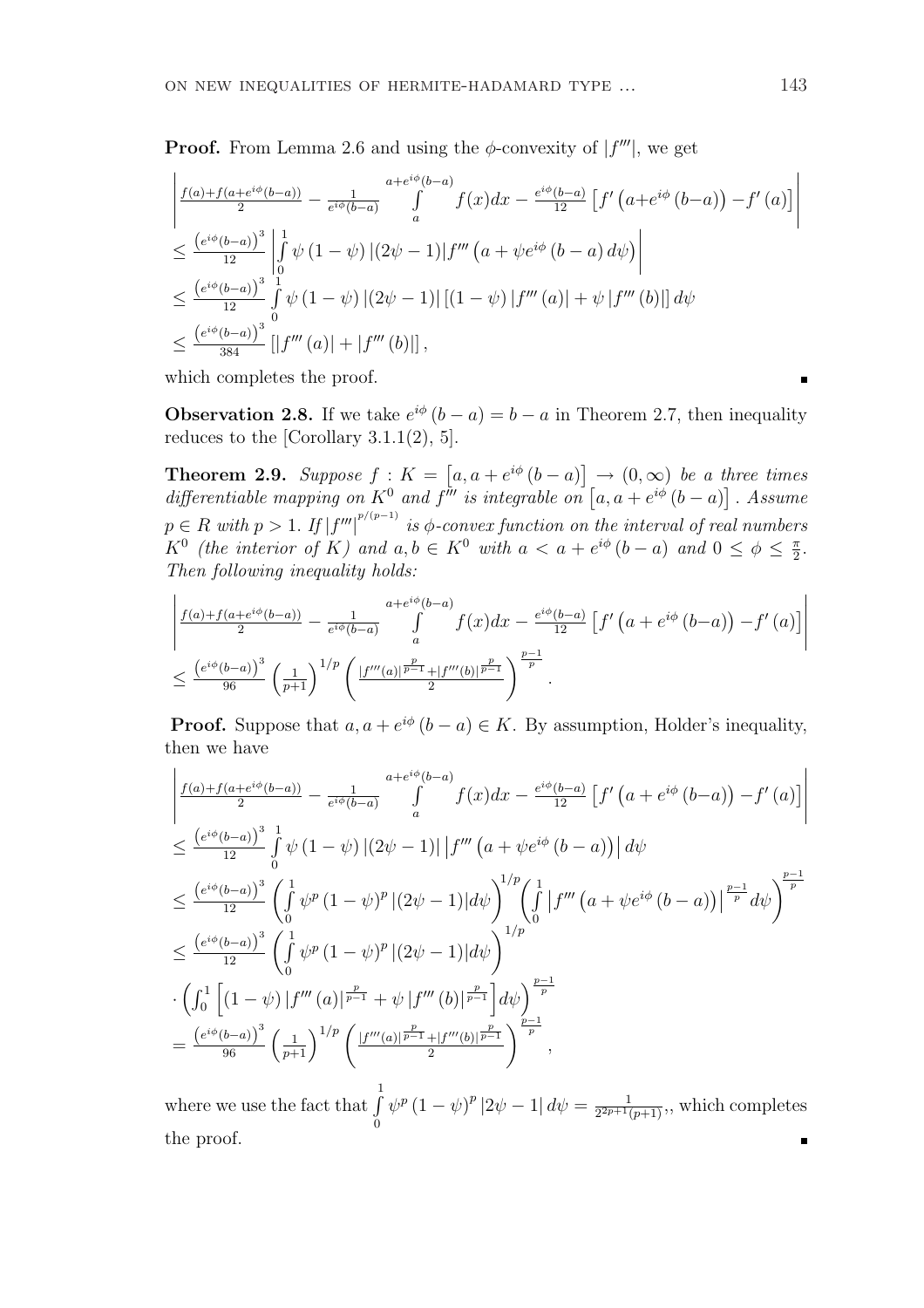**Proof.** From Lemma 2.6 and using the  $\phi$ -convexity of  $|f'''|$ , we get

$$
\begin{split}\n&\left| \frac{f(a) + f(a + e^{i\phi}(b - a))}{2} - \frac{1}{e^{i\phi}(b - a)} \int_{a}^{a + e^{i\phi}(b - a)} f(x) dx - \frac{e^{i\phi}(b - a)}{12} \left[ f'(a + e^{i\phi}(b - a)) - f'(a) \right] \right| \\
&\leq \frac{\left(e^{i\phi}(b - a)\right)^3}{12} \left| \int_{0}^{1} \psi(1 - \psi) \left| (2\psi - 1) \right| f'''(a + \psi e^{i\phi}(b - a) d\psi) \right| \\
&\leq \frac{\left(e^{i\phi}(b - a)\right)^3}{12} \int_{0}^{1} \psi(1 - \psi) \left| (2\psi - 1) \right| \left[ (1 - \psi) \left| f'''(a) \right| + \psi \left| f'''(b) \right| \right] d\psi \\
&\leq \frac{\left(e^{i\phi}(b - a)\right)^3}{384} \left[ \left| f'''(a) \right| + \left| f'''(b) \right| \right],\n\end{split}
$$

which completes the proof.

**Observation 2.8.** If we take  $e^{i\phi}(b-a) = b-a$  in Theorem 2.7, then inequality reduces to the [Corollary 3.1.1(2), 5].

**Theorem 2.9.** Suppose  $f: K =$ £  $a, a + e^{i\phi} (b - a)$ l<br>E  $\rightarrow$  (0,  $\infty$ ) be a three times **Theorem 2.9.** Suppose  $J : K = [a, a + e^{i\varphi}(b - a)] \rightarrow (0, \infty)$  be a differentiable mapping on  $K^0$  and  $f'''$  is integrable on  $[a, a + e^{i\phi}(b - a)]$ ™<br>⊤ . Assume  $p \in R$  with  $p > 1$ . If  $|f'''|^{p/(p-1)}$  is  $\phi$ -convex function on the interval of real numbers  $K^0$  (the interior of K) and  $a, b \in K^0$  with  $a < a + e^{i\phi} (b - a)$  and  $0 \le \phi \le \frac{\pi}{2}$  $\frac{\pi}{2}$ . Then following inequality holds:

$$
\left| \frac{f(a) + f(a + e^{i\phi}(b-a))}{2} - \frac{1}{e^{i\phi}(b-a)} \int_{a}^{a + e^{i\phi}(b-a)} f(x) dx - \frac{e^{i\phi}(b-a)}{12} \left[ f'(a + e^{i\phi}(b-a)) - f'(a) \right] \right|
$$
  

$$
\leq \frac{\left(e^{i\phi}(b-a)\right)^3}{96} \left(\frac{1}{p+1}\right)^{1/p} \left( \frac{|f'''(a)|^{\frac{p}{p-1}} + |f'''(b)|^{\frac{p}{p-1}}}{2} \right)^{\frac{p-1}{p}}.
$$

**Proof.** Suppose that  $a, a + e^{i\phi}$   $(b - a) \in K$ . By assumption, Holder's inequality, then we have ¯  $\overline{a}$ 

$$
\begin{split}\n&\left| \frac{f(a)+f(a+e^{i\phi}(b-a))}{2} - \frac{1}{e^{i\phi}(b-a)} \int_{a}^{a+e^{i\phi}(b-a)} f(x)dx - \frac{e^{i\phi}(b-a)}{12} \left[ f'(a+e^{i\phi}(b-a)) - f'(a) \right] \right| \\
&\leq \frac{\left(e^{i\phi}(b-a)\right)^3}{12} \int_{0}^{1} \psi(1-\psi) \left| (2\psi-1) \right| \left| f'''(a+\psi e^{i\phi}(b-a)) \right| d\psi \\
&\leq \frac{\left(e^{i\phi}(b-a)\right)^3}{12} \left( \int_{0}^{1} \psi^p(1-\psi)^p \left| (2\psi-1) \right| d\psi \right)^{1/p} \left( \int_{0}^{1} \left| f''''(a+\psi e^{i\phi}(b-a)) \right| \frac{p-1}{p} d\psi \right)^{\frac{p-1}{p}} \\
&\leq \frac{\left(e^{i\phi}(b-a)\right)^3}{12} \left( \int_{0}^{1} \psi^p(1-\psi)^p \left| (2\psi-1) \right| d\psi \right)^{1/p} \\
&\cdot \left( \int_{0}^{1} \left[ (1-\psi) \left| f'''(a) \right| \frac{p}{p-1} + \psi \left| f'''(b) \right| \frac{p}{p-1} \right] d\psi \right)^{\frac{p-1}{p}} \\
&= \frac{\left(e^{i\phi}(b-a)\right)^3}{96} \left( \frac{1}{p+1} \right)^{1/p} \left( \frac{\left| f'''(a) \right| \frac{p}{p-1} + \left| f'''(b) \right| \frac{p}{p-1}}{2} \right)^{\frac{p-1}{p}},\n\end{split}
$$

where we use the fact that  $\int_0^1$ 0  $\psi^p (1 - \psi)^p |2\psi - 1| d\psi = \frac{1}{2^{2p+1} \psi}$  $\frac{1}{2^{2p+1}(p+1)}$ , which completes the proof.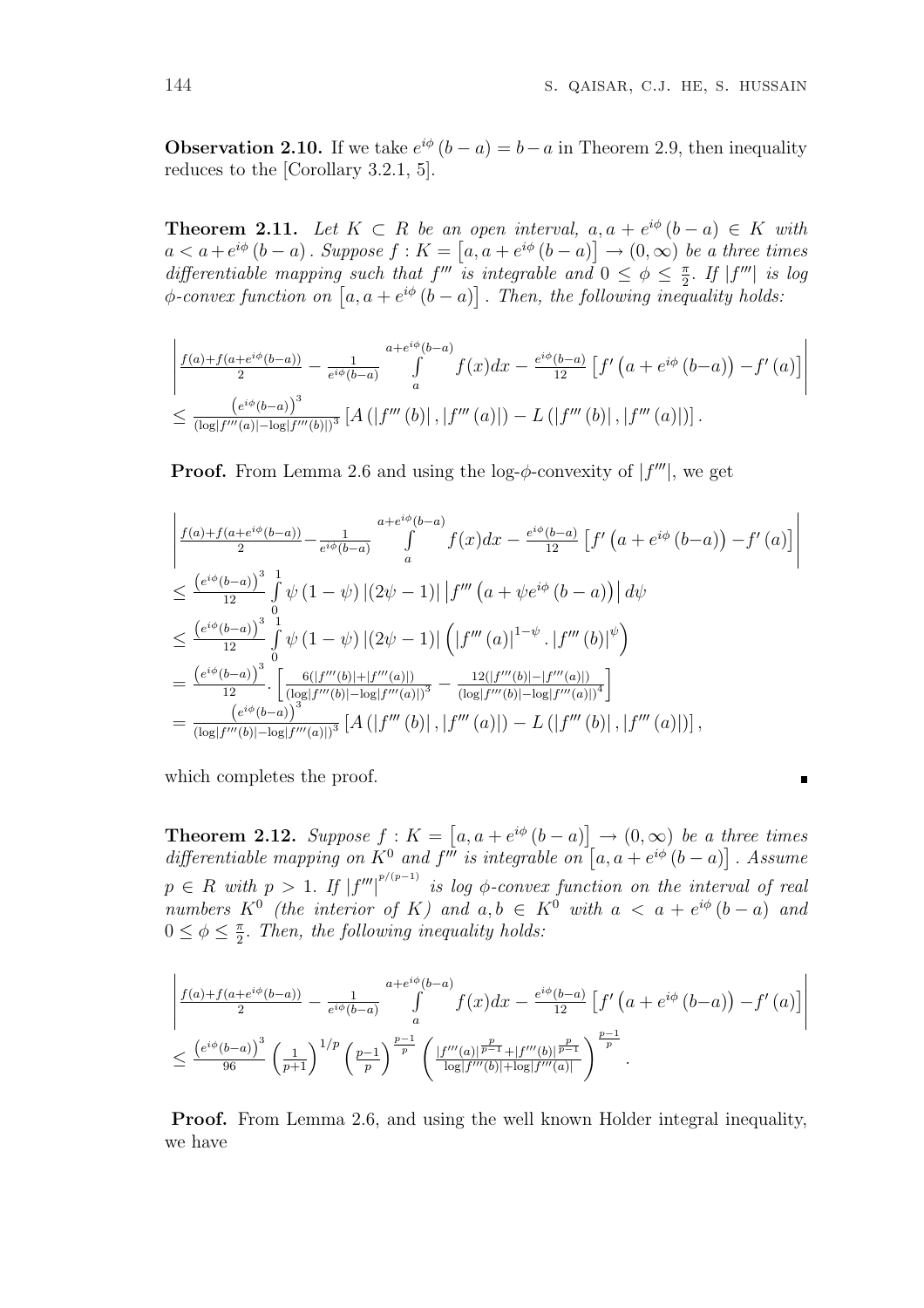$\blacksquare$ 

**Observation 2.10.** If we take  $e^{i\phi}$   $(b - a) = b - a$  in Theorem 2.9, then inequality reduces to the [Corollary 3.2.1, 5].

**Theorem 2.11.** Let  $K \subset R$  be an open interval,  $a, a + e^{i\phi}(b - a) \in K$  with  $a < a + e^{i\phi} (b - a)$ . Suppose  $f : K = [a, a + e^{i\phi} (b - a)] \rightarrow (0, \infty)$  be a three times differentiable mapping such that  $f'''$  is integrable and  $0 \leq \phi \leq \frac{\pi}{2}$ differentiable mapping such that  $f'''$  is integrable and  $0 \le \phi \le \frac{\pi}{2}$ . If  $|f'''|$  is log  $\phi$ -convex function on  $[a, a + e^{i\phi}(b - a)]$ . Then, the following inequality holds: ์<br>∍ . Then, the following inequality holds:

$$
\left| \frac{f(a) + f(a + e^{i\phi}(b-a))}{2} - \frac{1}{e^{i\phi}(b-a)} \int_{a}^{a + e^{i\phi}(b-a)} f(x) dx - \frac{e^{i\phi}(b-a)}{12} \left[ f'(a + e^{i\phi}(b-a)) - f'(a) \right] \right|
$$
  

$$
\leq \frac{\left(e^{i\phi}(b-a)\right)^3}{(\log|f'''(a)| - \log|f'''(b)|)^3} \left[ A\left(|f'''(b)|, |f'''(a)|\right) - L\left(|f'''(b)|, |f'''(a)|\right) \right].
$$

**Proof.** From Lemma 2.6 and using the log- $\phi$ -convexity of  $|f'''|$ , we get

$$
\begin{split}\n&\left| \frac{f(a)+f(a+e^{i\phi}(b-a))}{2} - \frac{1}{e^{i\phi}(b-a)} \int_{a}^{a+e^{i\phi}(b-a)} f(x)dx - \frac{e^{i\phi}(b-a)}{12} \left[ f'(a+e^{i\phi}(b-a)) - f'(a) \right] \right| \\
&\leq \frac{\left(e^{i\phi}(b-a)\right)^3}{12} \int_{0}^{1} \psi(1-\psi) \left| (2\psi-1) \right| \left| f'''(a+\psi e^{i\phi}(b-a)) \right| d\psi \\
&\leq \frac{\left(e^{i\phi}(b-a)\right)^3}{12} \int_{0}^{1} \psi(1-\psi) \left| (2\psi-1) \right| \left( \left| f'''(a) \right|^{1-\psi} \cdot \left| f'''(b) \right|^\psi \right) \\
&= \frac{\left(e^{i\phi}(b-a)\right)^3}{12} \cdot \left[ \frac{6(|f'''(b)|+|f'''(a)|)}{(\log|f'''(b)|-\log|f'''(a)|)^3} - \frac{12(|f'''(b)|-|f'''(a)|)}{(\log|f'''(b)|-\log|f'''(a)|)^4} \right] \\
&= \frac{\left(e^{i\phi}(b-a)\right)^3}{(\log|f'''(b)|-\log|f'''(a)|)^3} \left[ A\left( \left| f'''(b) \right|, \left| f'''(a) \right| \right) - L\left( \left| f'''(b) \right|, \left| f'''(a) \right| \right) \right],\n\end{split}
$$

which completes the proof.

**Theorem 2.12.** Suppose  $f: K =$ £  $a, a + e^{i\phi} (b - a)$ l<br>E  $\rightarrow$   $(0,\infty)$  be a three times **Theorem 2.12.** Suppose  $f: \mathbb{A} = [a, a + e^{\alpha} \ (b - a)] \rightarrow (0, \infty)$  be a a differentiable mapping on  $K^0$  and  $f'''$  is integrable on  $[a, a + e^{i\phi} \ (b - a)]$ ו<br>⊤ . Assume  $p \in R$  with  $p > 1$ . If  $|f'''|^{p/(p-1)}$  is log  $\phi$ -convex function on the interval of real numbers  $K^0$  (the interior of K) and  $a, b \in K^0$  with  $a < a + e^{i\phi}(b - a)$  and  $0 \leq \phi \leq \frac{\pi}{2}$  $\frac{\pi}{2}$ . Then, the following inequality holds:

$$
\left| \frac{f(a)+f(a+e^{i\phi}(b-a))}{2} - \frac{1}{e^{i\phi}(b-a)} \int\limits_{a}^{a+e^{i\phi}(b-a)} f(x)dx - \frac{e^{i\phi}(b-a)}{12} \left[ f'\left(a+e^{i\phi}(b-a)\right) - f'(a) \right] \right|
$$
  

$$
\leq \frac{\left(e^{i\phi}(b-a)\right)^3}{96} \left(\frac{1}{p+1}\right)^{1/p} \left(\frac{p-1}{p}\right)^{\frac{p-1}{p}} \left(\frac{|f'''(a)|^{\frac{p}{p-1}} + |f'''(b)|^{\frac{p}{p-1}}}{\log|f'''(b)| + \log|f'''(a)|}\right)^{\frac{p-1}{p}}.
$$

Proof. From Lemma 2.6, and using the well known Holder integral inequality, we have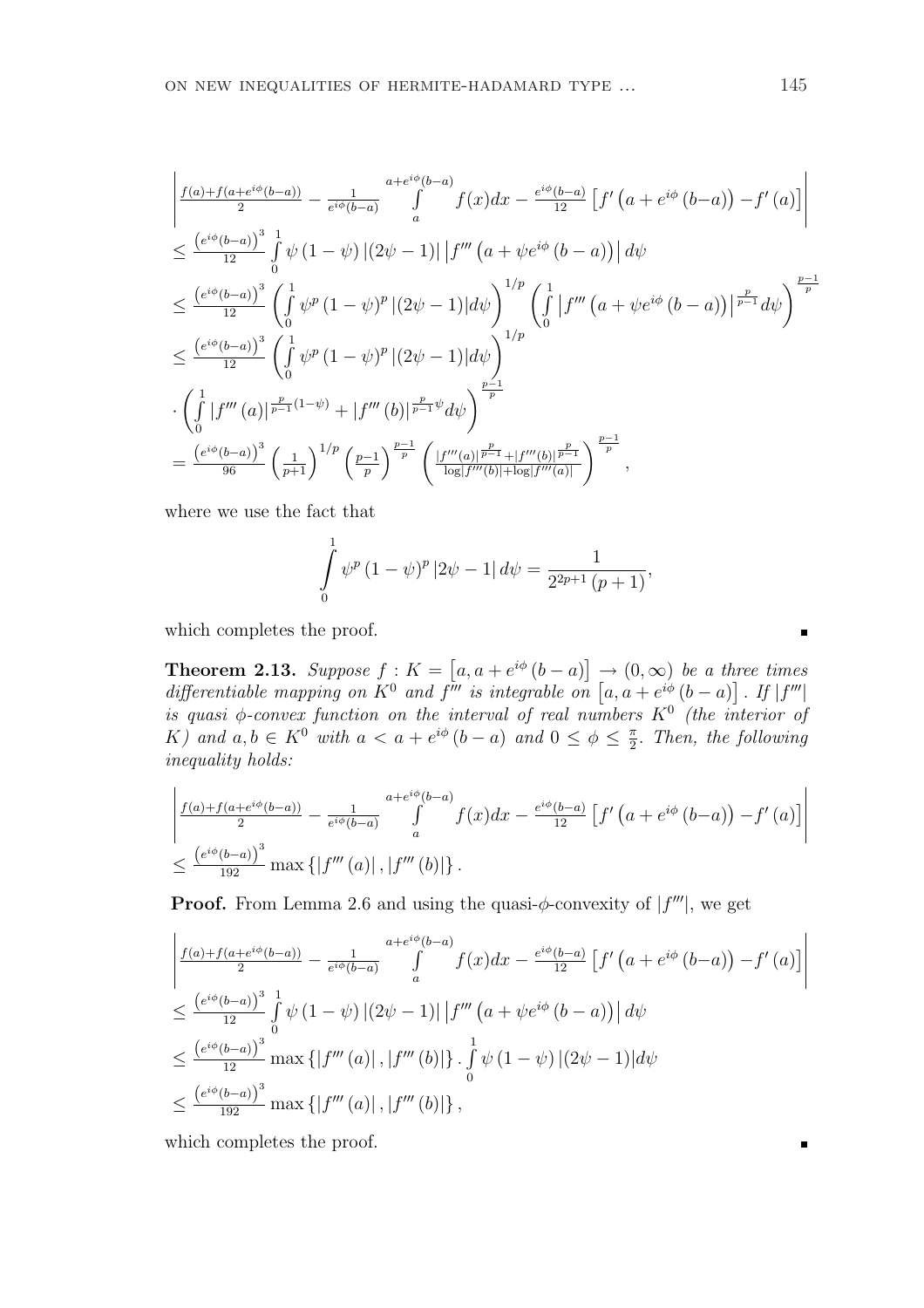$$
\begin{split}\n&\left| \frac{f(a)+f(a+e^{i\phi}(b-a))}{2} - \frac{1}{e^{i\phi}(b-a)} \int_{a}^{a+e^{i\phi}(b-a)} f(x)dx - \frac{e^{i\phi}(b-a)}{12} \left[ f'\left(a+e^{i\phi}(b-a)\right) - f'(a) \right] \right| \\
&\leq \frac{\left(e^{i\phi}(b-a)\right)^3}{12} \int_{0}^{1} \psi(1-\psi) \left| (2\psi-1) \right| \left| f''' \left(a+\psi e^{i\phi}(b-a)\right) \right| d\psi \\
&\leq \frac{\left(e^{i\phi}(b-a)\right)^3}{12} \left( \int_{0}^{1} \psi^p (1-\psi)^p \left| (2\psi-1) \right| d\psi \right)^{1/p} \left( \int_{0}^{1} \left| f''' \left(a+\psi e^{i\phi}(b-a)\right) \right|^{p-1} d\psi \right)^{\frac{p-1}{p}} \\
&\leq \frac{\left(e^{i\phi}(b-a)\right)^3}{12} \left( \int_{0}^{1} \psi^p (1-\psi)^p \left| (2\psi-1) \right| d\psi \right)^{1/p} \\
&\cdot \left( \int_{0}^{1} \left| f''' \left(a\right) \right|^{p-1} e^{(1-\psi)} + \left| f''' \left(b\right) \right|^{p-1} e^{i\phi} d\psi \right)^{\frac{p-1}{p}} \\
&= \frac{\left(e^{i\phi}(b-a)\right)^3}{96} \left( \frac{1}{p+1} \right)^{1/p} \left( \frac{p-1}{p} \right)^{\frac{p-1}{p}} \left( \frac{\left| f''' \left(a\right) \right|^{p-1} + \left| f''' \left(b\right) \right|^{p-1}}{\log|f'''(b)| + \log|f'''(a)|} \right)^{\frac{p-1}{p}},\n\end{split}
$$

where we use the fact that

$$
\int_{0}^{1} \psi^{p} (1 - \psi)^{p} |2\psi - 1| d\psi = \frac{1}{2^{2p+1} (p+1)},
$$

which completes the proof.

**Theorem 2.13.** Suppose  $f: K =$ £  $a, a + e^{i\phi} (b - a)$ ¤  $\rightarrow$  (0,  $\infty$ ) be a three times **Theorem 2.13.** Suppose  $J : K = [a, a + e^{i\varphi}(b - a)] \rightarrow (0, \infty)$  be a theat differentiable mapping on  $K^0$  and  $f'''$  is integrable on  $[a, a + e^{i\phi}(b - a)]$ ข<br>-. If  $|f'''|$ is quasi  $\phi$ -convex function on the interval of real numbers  $K^0$  (the interior of K) and  $a, b \in K^0$  with  $a < a + e^{i\phi} (b - a)$  and  $0 \le \phi \le \frac{\pi}{2}$  $\frac{\pi}{2}$ . Then, the following inequality holds:

$$
\left| \frac{f(a) + f(a + e^{i\phi}(b-a))}{2} - \frac{1}{e^{i\phi}(b-a)} \int_{a}^{a + e^{i\phi}(b-a)} f(x) dx - \frac{e^{i\phi}(b-a)}{12} \left[ f'(a + e^{i\phi}(b-a)) - f'(a) \right] \right|
$$
  

$$
\leq \frac{\left(e^{i\phi}(b-a)\right)^3}{192} \max \left\{ \left| f'''(a) \right|, \left| f'''(b) \right| \right\}.
$$

**Proof.** From Lemma 2.6 and using the quasi- $\phi$ -convexity of  $|f'''|$ , we get

$$
\begin{split}\n&\left| \frac{f(a) + f(a + e^{i\phi}(b - a))}{2} - \frac{1}{e^{i\phi}(b - a)} \int_{a}^{a + e^{i\phi}(b - a)} f(x) dx - \frac{e^{i\phi}(b - a)}{12} \left[ f'(a + e^{i\phi}(b - a)) - f'(a) \right] \right| \\
&\leq \frac{\left( e^{i\phi}(b - a) \right)^3}{12} \int_{0}^{1} \psi(1 - \psi) \left| (2\psi - 1) \right| \left| f'''(a + \psi e^{i\phi}(b - a)) \right| d\psi \\
&\leq \frac{\left( e^{i\phi}(b - a) \right)^3}{12} \max \left\{ \left| f'''(a) \right|, \left| f'''(b) \right| \right\} \cdot \int_{0}^{1} \psi(1 - \psi) \left| (2\psi - 1) \right| d\psi \\
&\leq \frac{\left( e^{i\phi}(b - a) \right)^3}{12} \max \left\{ \left| f'''(a) \right|, \left| f'''(b) \right| \right\},\n\end{split}
$$

which completes the proof.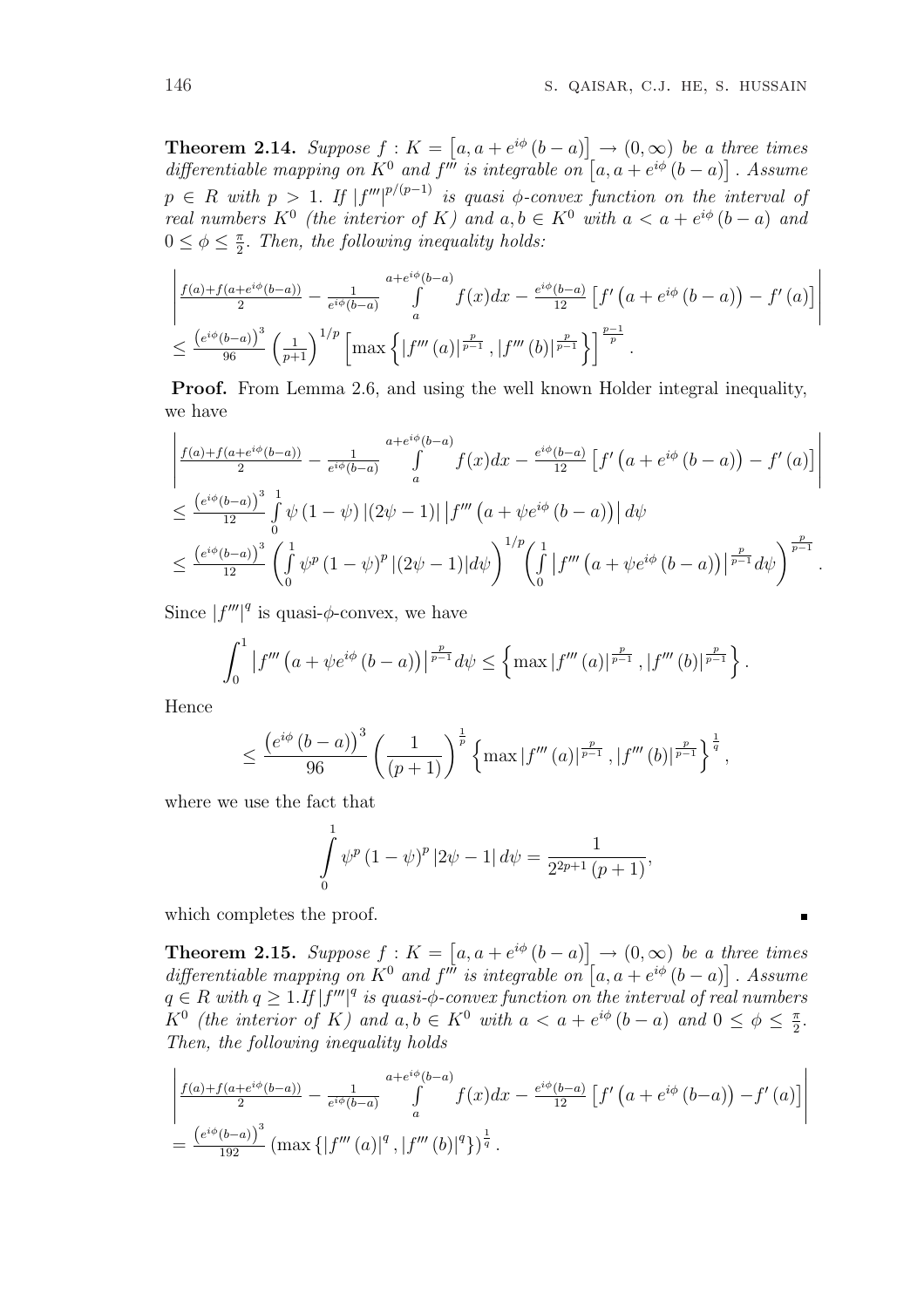**Theorem 2.14.** Suppose  $f: K =$ £  $a, a + e^{i\phi} (b - a)$ l<br>E  $\rightarrow$   $(0,\infty)$  be a three times **Theorem 2.14.** Suppose  $J : K = [a, a + e^{\alpha} (b - a)] \rightarrow (0, \infty)$  be a a differentiable mapping on  $K^0$  and  $f'''$  is integrable on  $[a, a + e^{i\phi} (b - a)]$ ו<br>ד . Assume  $p \in R$  with  $p > 1$ . If  $|f'''|^{p/(p-1)}$  is quasi  $\phi$ -convex function on the interval of real numbers  $K^0$  (the interior of K) and  $a, b \in K^0$  with  $a < a + e^{i\phi}(b - a)$  and  $0 \leq \phi \leq \frac{\pi}{2}$  $\frac{\pi}{2}$ . Then, the following inequality holds:

$$
\frac{\left| \frac{f(a)+f(a+e^{i\phi}(b-a))}{2} - \frac{1}{e^{i\phi}(b-a)} \int\limits_{a}^{a+e^{i\phi}(b-a)} f(x)dx - \frac{e^{i\phi}(b-a)}{12} \left[ f'(a+e^{i\phi}(b-a)) - f'(a) \right] \right|}{\leq \frac{\left(e^{i\phi}(b-a)\right)^3}{96} \left(\frac{1}{p+1}\right)^{1/p} \left[ \max \left\{ \left| f'''(a) \right| \frac{p}{p-1}, \left| f'''(b) \right| \frac{p}{p-1} \right\} \right]^{\frac{p-1}{p}}.
$$

Proof. From Lemma 2.6, and using the well known Holder integral inequality, we have  $\overline{a}$ 

$$
\frac{\left|f(a)+f(a+e^{i\phi}(b-a))}{2}-\frac{1}{e^{i\phi}(b-a)}\int_{a}^{a+e^{i\phi}(b-a)}f(x)dx-\frac{e^{i\phi}(b-a)}{12}\left[f'\left(a+e^{i\phi}\left(b-a\right)\right)-f'\left(a\right)\right]\right|}{\leq \frac{\left(e^{i\phi}(b-a)\right)^{3}}{12}\int_{0}^{1}\psi\left(1-\psi\right)\left|\left(2\psi-1\right)\right|\left|f'''\left(a+\psi e^{i\phi}\left(b-a\right)\right|\right|d\psi}
$$
  

$$
\leq \frac{\left(e^{i\phi}(b-a)\right)^{3}}{12}\left(\int_{0}^{1}\psi^{p}\left(1-\psi\right)^{p}\left|(2\psi-1)\right|d\psi\right)^{1/p}\left(\int_{0}^{1}\left|f''''\left(a+\psi e^{i\phi}\left(b-a\right)\right)\right|\frac{p}{p-1}d\psi\right)^{\frac{p}{p-1}}.
$$

Since  $|f'''|^q$  is quasi- $\phi$ -convex, we have

$$
\int_0^1 \left| f''''\left( a + \psi e^{i\phi} \left( b - a \right) \right) \right|^{\frac{p}{p-1}} d\psi \leq \left\{ \max |f'''(a)|^{\frac{p}{p-1}}, |f'''(b)|^{\frac{p}{p-1}} \right\}.
$$

Hence

$$
\leq \frac{\left(e^{i\phi}\left(b-a\right)\right)^3}{96}\left(\frac{1}{\left(p+1\right)}\right)^{\frac{1}{p}}\left\{\max|f'''\left(a\right)|^{\frac{p}{p-1}},\left|f'''\left(b\right)\right|^{\frac{p}{p-1}}\right\}^{\frac{1}{q}},
$$

where we use the fact that

$$
\int_{0}^{1} \psi^{p} (1 - \psi)^{p} |2\psi - 1| d\psi = \frac{1}{2^{2p+1} (p+1)},
$$

which completes the proof.

**Theorem 2.15.** Suppose  $f: K =$ £  $a, a + e^{i\phi} (b - a)$ l<br>E  $\rightarrow$   $(0,\infty)$  be a three times **Theorem 2.15.** Suppose  $f: \mathbb{A} = [a, a + e^{\alpha} \ (b - a)] \rightarrow (0, \infty)$  be a a differentiable mapping on  $K^0$  and  $f'''$  is integrable on  $[a, a + e^{i\phi} \ (b - a)]$ ו∕<br>ד . Assume  $q \in R$  with  $q \geq 1$ . If  $|f'''|^q$  is quasi- $\phi$ -convex function on the interval of real numbers  $K^0$  (the interior of K) and  $a, b \in K^0$  with  $a < a + e^{i\phi} (b - a)$  and  $0 \le \phi \le \frac{\pi}{2}$  $\frac{\pi}{2}$ . Then, the following inequality holds

$$
\left| \frac{f(a)+f(a+e^{i\phi}(b-a))}{2} - \frac{1}{e^{i\phi}(b-a)} \int_{a}^{a+e^{i\phi}(b-a)} f(x)dx - \frac{e^{i\phi}(b-a)}{12} \left[ f'(a+e^{i\phi}(b-a)) - f'(a) \right] \right|
$$
  
= 
$$
\frac{\left(e^{i\phi}(b-a)\right)^3}{192} \left( \max \left\{ \left| f'''(a) \right|^q, \left| f'''(b) \right|^q \right\} \right)^{\frac{1}{q}}.
$$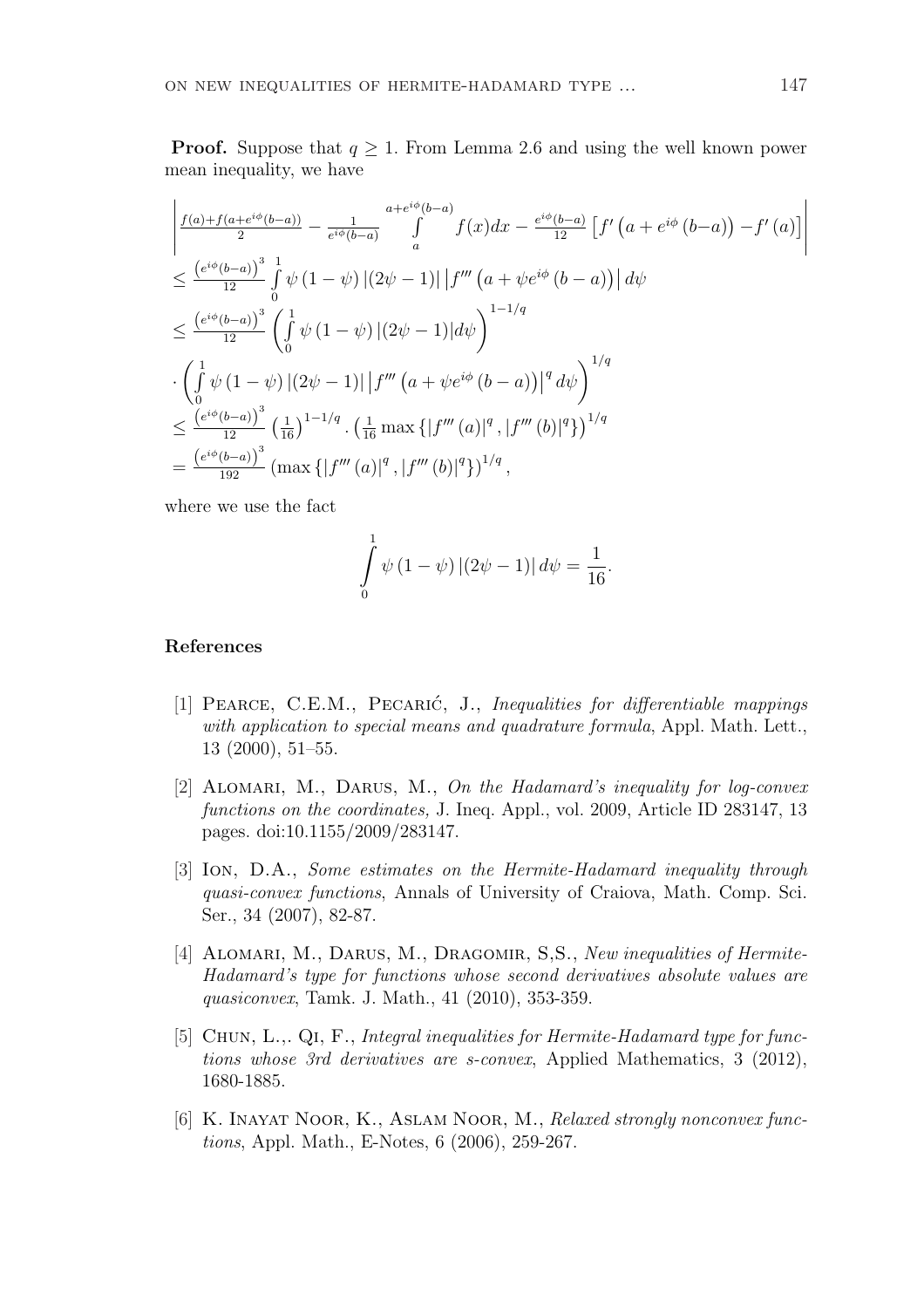**Proof.** Suppose that  $q > 1$ . From Lemma 2.6 and using the well known power mean inequality, we have

$$
\begin{split}\n&\left| \frac{f(a) + f(a + e^{i\phi}(b - a))}{2} - \frac{1}{e^{i\phi}(b - a)} \int_{a}^{a + e^{i\phi}(b - a)} f(x) dx - \frac{e^{i\phi}(b - a)}{12} \left[ f'(a + e^{i\phi}(b - a)) - f'(a) \right] \right| \\
&\leq \frac{\left(e^{i\phi}(b - a)\right)^3}{12} \int_{0}^{1} \psi(1 - \psi) \left| (2\psi - 1) \right| \left| f'''(a + \psi e^{i\phi}(b - a)) \right| d\psi \\
&\leq \frac{\left(e^{i\phi}(b - a)\right)^3}{12} \left( \int_{0}^{1} \psi(1 - \psi) \left| (2\psi - 1) \right| d\psi \right)^{1 - 1/q} \\
&\cdot \left( \int_{0}^{1} \psi(1 - \psi) \left| (2\psi - 1) \right| \left| f'''(a + \psi e^{i\phi}(b - a)) \right|^{q} d\psi \right)^{1/q} \\
&\leq \frac{\left(e^{i\phi}(b - a)\right)^3}{12} \left( \frac{1}{16} \right)^{1 - 1/q} \cdot \left( \frac{1}{16} \max \left\{ \left| f'''(a) \right|^{q}, \left| f'''(b) \right|^{q} \right\} \right)^{1/q} \\
&= \frac{\left(e^{i\phi}(b - a)\right)^3}{192} \left( \max \left\{ \left| f'''(a) \right|^{q}, \left| f'''(b) \right|^{q} \right\} \right)^{1/q},\n\end{split}
$$

where we use the fact

$$
\int_{0}^{1} \psi (1 - \psi) |(2\psi - 1)| d\psi = \frac{1}{16}.
$$

## References

- [1] PEARCE, C.E.M., PECARIĆ, J., Inequalities for differentiable mappings with application to special means and quadrature formula, Appl. Math. Lett., 13 (2000), 51–55.
- [2] ALOMARI, M., DARUS, M., On the Hadamard's inequality for log-convex functions on the coordinates, J. Ineq. Appl., vol. 2009, Article ID 283147, 13 pages. doi:10.1155/2009/283147.
- [3] Ion, D.A., Some estimates on the Hermite-Hadamard inequality through quasi-convex functions, Annals of University of Craiova, Math. Comp. Sci. Ser., 34 (2007), 82-87.
- [4] ALOMARI, M., DARUS, M., DRAGOMIR, S.S., New inequalities of Hermite-Hadamard's type for functions whose second derivatives absolute values are quasiconvex, Tamk. J. Math., 41 (2010), 353-359.
- [5] Chun, L.,. Qi, F., Integral inequalities for Hermite-Hadamard type for functions whose 3rd derivatives are s-convex, Applied Mathematics, 3 (2012), 1680-1885.
- [6] K. Inayat Noor, K., Aslam Noor, M., Relaxed strongly nonconvex functions, Appl. Math., E-Notes, 6 (2006), 259-267.